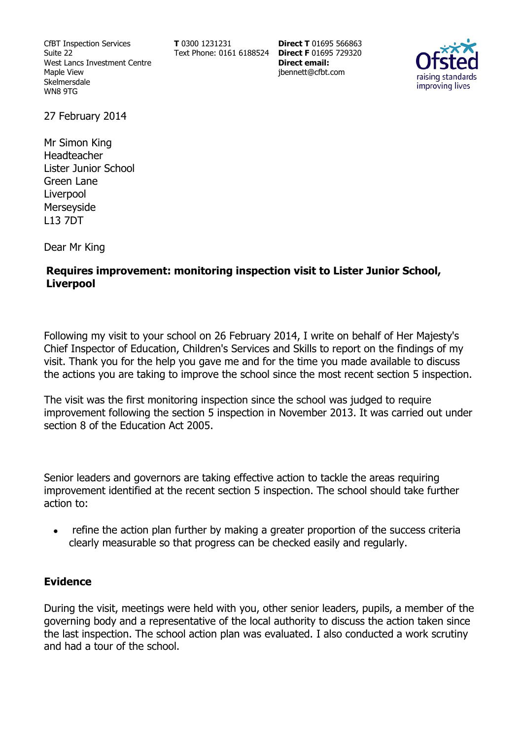CfBT Inspection Services Suite 22 West Lancs Investment Centre Maple View Skelmersdale WN8 9TG

**T** 0300 1231231

Text Phone: 0161 6188524 **Direct F** 01695 729320 **Direct T** 01695 566863 **Direct email:**  jbennett@cfbt.com



27 February 2014

Mr Simon King Headteacher Lister Junior School Green Lane Liverpool Merseyside L13 7DT

Dear Mr King

# **Requires improvement: monitoring inspection visit to Lister Junior School, Liverpool**

Following my visit to your school on 26 February 2014, I write on behalf of Her Majesty's Chief Inspector of Education, Children's Services and Skills to report on the findings of my visit. Thank you for the help you gave me and for the time you made available to discuss the actions you are taking to improve the school since the most recent section 5 inspection.

The visit was the first monitoring inspection since the school was judged to require improvement following the section 5 inspection in November 2013. It was carried out under section 8 of the Education Act 2005.

Senior leaders and governors are taking effective action to tackle the areas requiring improvement identified at the recent section 5 inspection. The school should take further action to:

• refine the action plan further by making a greater proportion of the success criteria clearly measurable so that progress can be checked easily and regularly.

### **Evidence**

During the visit, meetings were held with you, other senior leaders, pupils, a member of the governing body and a representative of the local authority to discuss the action taken since the last inspection. The school action plan was evaluated. I also conducted a work scrutiny and had a tour of the school.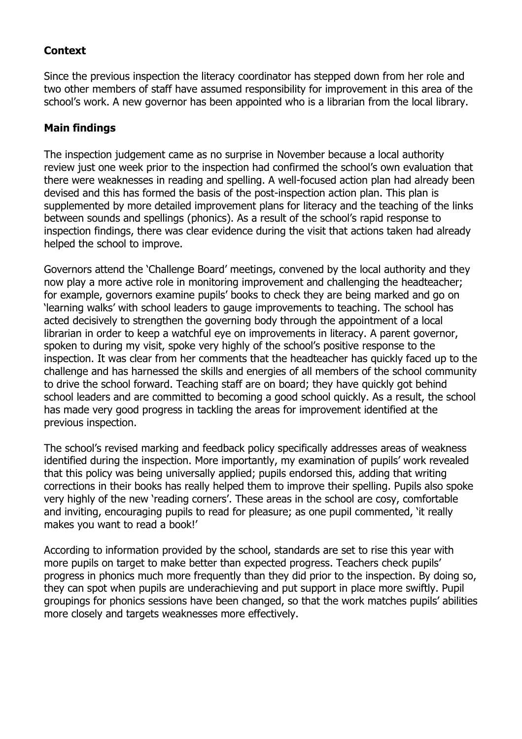# **Context**

Since the previous inspection the literacy coordinator has stepped down from her role and two other members of staff have assumed responsibility for improvement in this area of the school's work. A new governor has been appointed who is a librarian from the local library.

# **Main findings**

The inspection judgement came as no surprise in November because a local authority review just one week prior to the inspection had confirmed the school's own evaluation that there were weaknesses in reading and spelling. A well-focused action plan had already been devised and this has formed the basis of the post-inspection action plan. This plan is supplemented by more detailed improvement plans for literacy and the teaching of the links between sounds and spellings (phonics). As a result of the school's rapid response to inspection findings, there was clear evidence during the visit that actions taken had already helped the school to improve.

Governors attend the 'Challenge Board' meetings, convened by the local authority and they now play a more active role in monitoring improvement and challenging the headteacher; for example, governors examine pupils' books to check they are being marked and go on 'learning walks' with school leaders to gauge improvements to teaching. The school has acted decisively to strengthen the governing body through the appointment of a local librarian in order to keep a watchful eve on improvements in literacy. A parent governor, spoken to during my visit, spoke very highly of the school's positive response to the inspection. It was clear from her comments that the headteacher has quickly faced up to the challenge and has harnessed the skills and energies of all members of the school community to drive the school forward. Teaching staff are on board; they have quickly got behind school leaders and are committed to becoming a good school quickly. As a result, the school has made very good progress in tackling the areas for improvement identified at the previous inspection.

The school's revised marking and feedback policy specifically addresses areas of weakness identified during the inspection. More importantly, my examination of pupils' work revealed that this policy was being universally applied; pupils endorsed this, adding that writing corrections in their books has really helped them to improve their spelling. Pupils also spoke very highly of the new 'reading corners'. These areas in the school are cosy, comfortable and inviting, encouraging pupils to read for pleasure; as one pupil commented, 'it really makes you want to read a book!'

According to information provided by the school, standards are set to rise this year with more pupils on target to make better than expected progress. Teachers check pupils' progress in phonics much more frequently than they did prior to the inspection. By doing so, they can spot when pupils are underachieving and put support in place more swiftly. Pupil groupings for phonics sessions have been changed, so that the work matches pupils' abilities more closely and targets weaknesses more effectively.